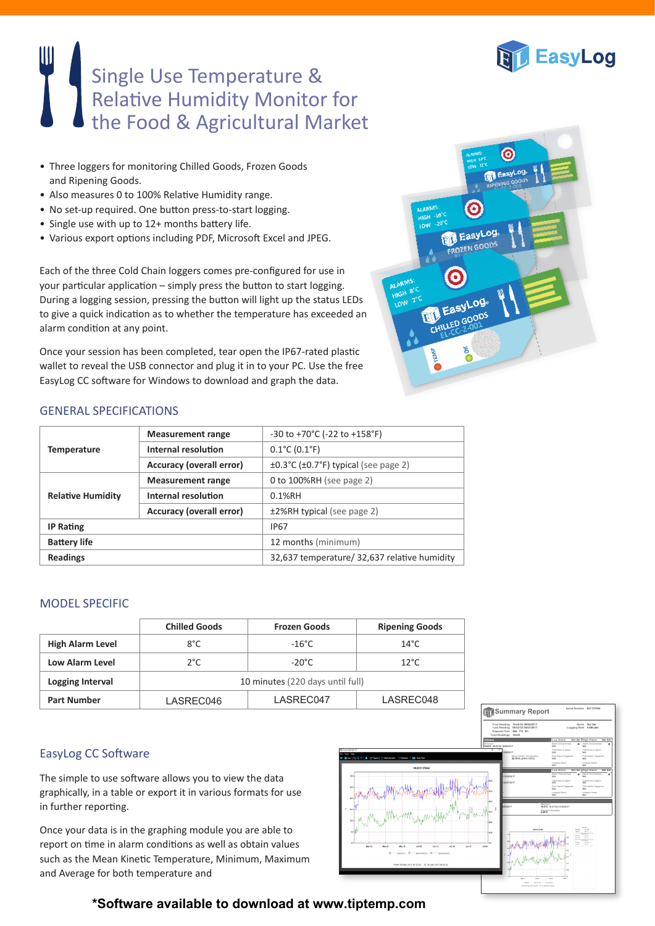

# Single Use Temperature & Relative Humidity Monitor for the Food & Agricultural Market

- Three loggers for monitoring Chilled Goods, Frozen Goods and Ripening Goods.
- Also measures 0 to 100% Relative Humidity range.
- No set-up required. One button press-to-start logging.
- Single use with up to 12+ months battery life.
- Various export options including PDF, Microsoft Excel and JPEG.

Each of the three Cold Chain loggers comes pre-configured for use in your particular application – simply press the button to start logging. During a logging session, pressing the button will light up the status LEDs to give a quick indication as to whether the temperature has exceeded an alarm condition at any point.

Once your session has been completed, tear open the IP67-rated plastic wallet to reveal the USB connector and plug it in to your PC. Use the free EasyLog CC software for Windows to download and graph the data.



#### GENERAL SPECIFICATIONS

| <b>Measurement range</b>        | $-30$ to $+70^{\circ}$ C ( $-22$ to $+158^{\circ}$ F)           |  |
|---------------------------------|-----------------------------------------------------------------|--|
| Internal resolution             | $0.1^{\circ}$ C (0.1 $^{\circ}$ F)                              |  |
| <b>Accuracy (overall error)</b> | $\pm 0.3^{\circ}$ C ( $\pm 0.7^{\circ}$ F) typical (see page 2) |  |
| <b>Measurement range</b>        | 0 to 100%RH (see page 2)                                        |  |
| Internal resolution             | $0.1%$ RH                                                       |  |
| <b>Accuracy (overall error)</b> | ±2%RH typical (see page 2)                                      |  |
|                                 | <b>IP67</b>                                                     |  |
|                                 | 12 months (minimum)                                             |  |
|                                 | 32,637 temperature/ 32,637 relative humidity                    |  |
|                                 |                                                                 |  |

#### MODEL SPECIFIC

|                         | <b>Chilled Goods</b>             | <b>Frozen Goods</b> | <b>Ripening Goods</b> |
|-------------------------|----------------------------------|---------------------|-----------------------|
| <b>High Alarm Level</b> | $8^{\circ}$ C                    | $-16^{\circ}$ C     | $14^{\circ}$ C        |
| Low Alarm Level         | $2^{\circ}$ C                    | $-20^{\circ}$ C     | $12^{\circ}$ C        |
| Logging Interval        | 10 minutes (220 days until full) |                     |                       |
| <b>Part Number</b>      | LASREC046                        | LASREC047           | LASREC048             |

### EasyLog CC Software

The simple to use software allows you to view the data graphically, in a table or export it in various formats for use in further reporting.

Once your data is in the graphing module you are able to report on time in alarm conditions as well as obtain values such as the Mean Kinetic Temperature, Minimum, Maximum and Average for both temperature and



## **\*Software available to download at www.tiptemp.com**